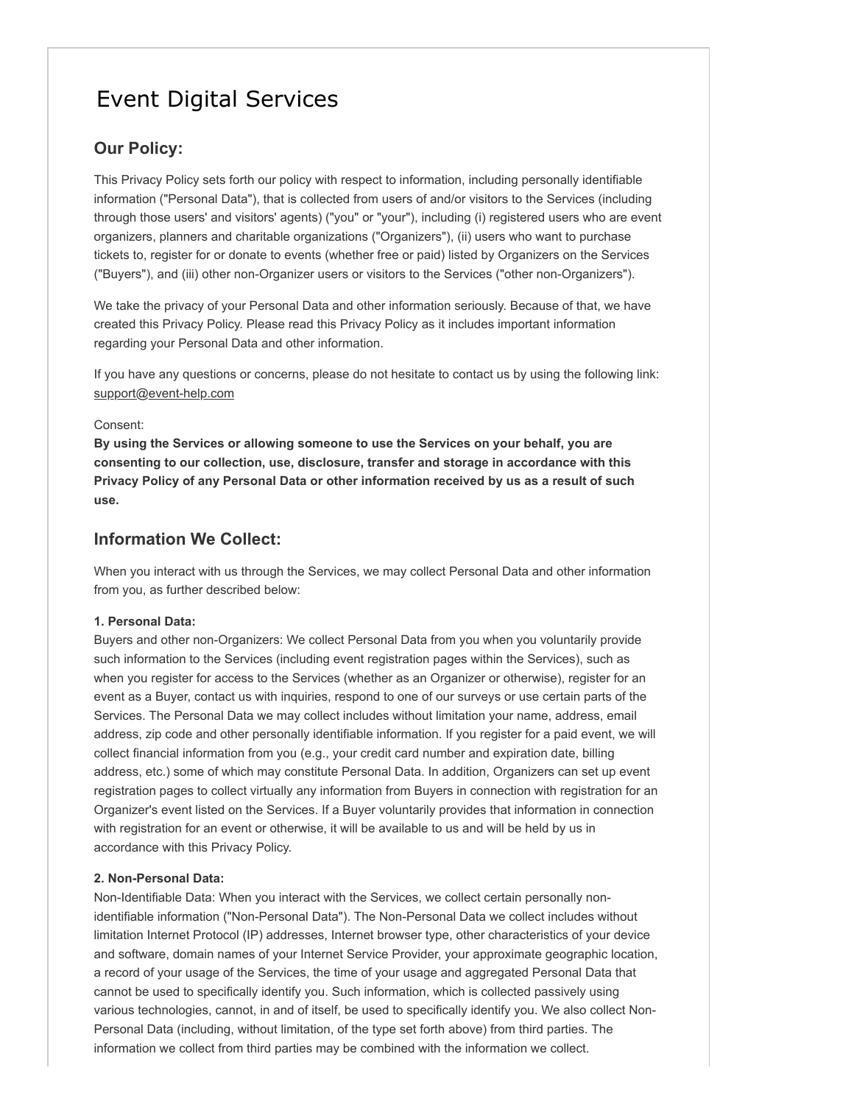# Event Digital Services

## **Our Policy:**

This Privacy Policy sets forth our policy with respect to information, including personally identifiable information ("Personal Data"), that is collected from users of and/or visitors to the Services (including through those users' and visitors' agents) ("you" or "your"), including (i) registered users who are event organizers, planners and charitable organizations ("Organizers"), (ii) users who want to purchase tickets to, register for or donate to events (whether free or paid) listed by Organizers on the Services ("Buyers"), and (iii) other non-Organizer users or visitors to the Services ("other non-Organizers").

We take the privacy of your Personal Data and other information seriously. Because of that, we have created this Privacy Policy. Please read this Privacy Policy as it includes important information regarding your Personal Data and other information.

If you have any questions or concerns, please do not hesitate to contact us by using the following link: support@event-help.com

#### Consent:

**By using the Services or allowing someone to use the Services on your behalf, you are consenting to our collection, use, disclosure, transfer and storage in accordance with this Privacy Policy of any Personal Data or other information received by us as a result of such use.**

### **Information We Collect:**

When you interact with us through the Services, we may collect Personal Data and other information from you, as further described below:

#### **1. Personal Data:**

Buyers and other non-Organizers: We collect Personal Data from you when you voluntarily provide such information to the Services (including event registration pages within the Services), such as when you register for access to the Services (whether as an Organizer or otherwise), register for an event as a Buyer, contact us with inquiries, respond to one of our surveys or use certain parts of the Services. The Personal Data we may collect includes without limitation your name, address, email address, zip code and other personally identifiable information. If you register for a paid event, we will collect financial information from you (e.g., your credit card number and expiration date, billing address, etc.) some of which may constitute Personal Data. In addition, Organizers can set up event registration pages to collect virtually any information from Buyers in connection with registration for an Organizer's event listed on the Services. If a Buyer voluntarily provides that information in connection with registration for an event or otherwise, it will be available to us and will be held by us in accordance with this Privacy Policy.

#### **2. Non-Personal Data:**

Non-Identifiable Data: When you interact with the Services, we collect certain personally nonidentifiable information ("Non-Personal Data"). The Non-Personal Data we collect includes without limitation Internet Protocol (IP) addresses, Internet browser type, other characteristics of your device and software, domain names of your Internet Service Provider, your approximate geographic location, a record of your usage of the Services, the time of your usage and aggregated Personal Data that cannot be used to specifically identify you. Such information, which is collected passively using various technologies, cannot, in and of itself, be used to specifically identify you. We also collect Non-Personal Data (including, without limitation, of the type set forth above) from third parties. The information we collect from third parties may be combined with the information we collect.